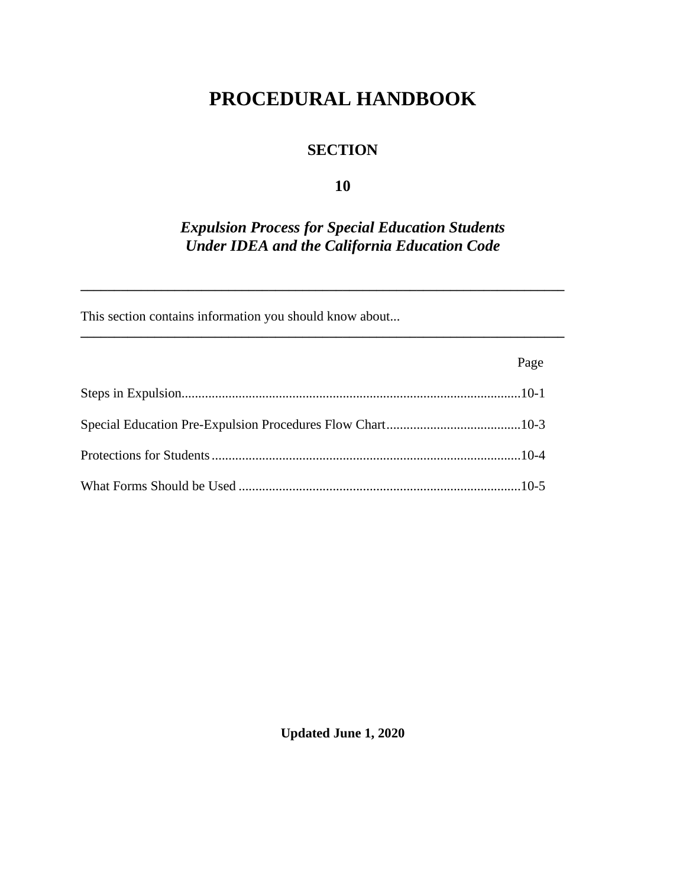# **PROCEDURAL HANDBOOK**

## **SECTION**

#### **10**

## *Expulsion Process for Special Education Students Under IDEA and the California Education Code*

**\_\_\_\_\_\_\_\_\_\_\_\_\_\_\_\_\_\_\_\_\_\_\_\_\_\_\_\_\_\_\_\_\_\_\_\_\_\_\_\_\_\_\_\_\_\_\_\_\_\_\_\_\_\_\_\_\_\_\_\_\_\_\_\_\_\_\_\_\_\_\_\_**

**\_\_\_\_\_\_\_\_\_\_\_\_\_\_\_\_\_\_\_\_\_\_\_\_\_\_\_\_\_\_\_\_\_\_\_\_\_\_\_\_\_\_\_\_\_\_\_\_\_\_\_\_\_\_\_\_\_\_\_\_\_\_\_\_\_\_\_\_\_\_\_\_**

This section contains information you should know about...

| Page |
|------|
|      |
|      |
|      |
|      |

**Updated June 1, 2020**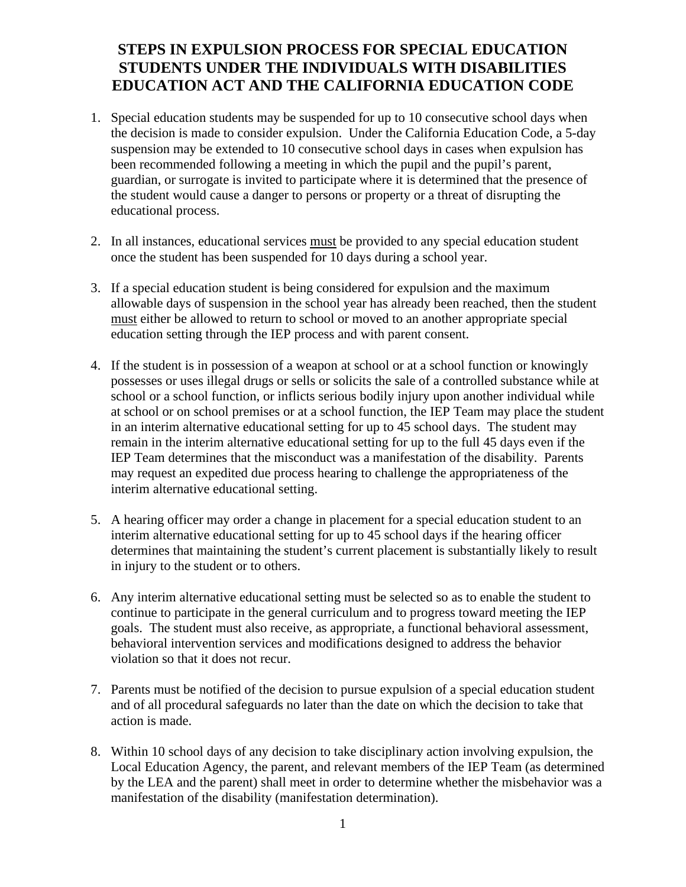#### **STEPS IN EXPULSION PROCESS FOR SPECIAL EDUCATION STUDENTS UNDER THE INDIVIDUALS WITH DISABILITIES EDUCATION ACT AND THE CALIFORNIA EDUCATION CODE**

- 1. Special education students may be suspended for up to 10 consecutive school days when the decision is made to consider expulsion. Under the California Education Code, a 5-day suspension may be extended to 10 consecutive school days in cases when expulsion has been recommended following a meeting in which the pupil and the pupil's parent, guardian, or surrogate is invited to participate where it is determined that the presence of the student would cause a danger to persons or property or a threat of disrupting the educational process.
- 2. In all instances, educational services must be provided to any special education student once the student has been suspended for 10 days during a school year.
- 3. If a special education student is being considered for expulsion and the maximum allowable days of suspension in the school year has already been reached, then the student must either be allowed to return to school or moved to an another appropriate special education setting through the IEP process and with parent consent.
- 4. If the student is in possession of a weapon at school or at a school function or knowingly possesses or uses illegal drugs or sells or solicits the sale of a controlled substance while at school or a school function, or inflicts serious bodily injury upon another individual while at school or on school premises or at a school function, the IEP Team may place the student in an interim alternative educational setting for up to 45 school days. The student may remain in the interim alternative educational setting for up to the full 45 days even if the IEP Team determines that the misconduct was a manifestation of the disability. Parents may request an expedited due process hearing to challenge the appropriateness of the interim alternative educational setting.
- 5. A hearing officer may order a change in placement for a special education student to an interim alternative educational setting for up to 45 school days if the hearing officer determines that maintaining the student's current placement is substantially likely to result in injury to the student or to others.
- 6. Any interim alternative educational setting must be selected so as to enable the student to continue to participate in the general curriculum and to progress toward meeting the IEP goals. The student must also receive, as appropriate, a functional behavioral assessment, behavioral intervention services and modifications designed to address the behavior violation so that it does not recur.
- 7. Parents must be notified of the decision to pursue expulsion of a special education student and of all procedural safeguards no later than the date on which the decision to take that action is made.
- 8. Within 10 school days of any decision to take disciplinary action involving expulsion, the Local Education Agency, the parent, and relevant members of the IEP Team (as determined by the LEA and the parent) shall meet in order to determine whether the misbehavior was a manifestation of the disability (manifestation determination).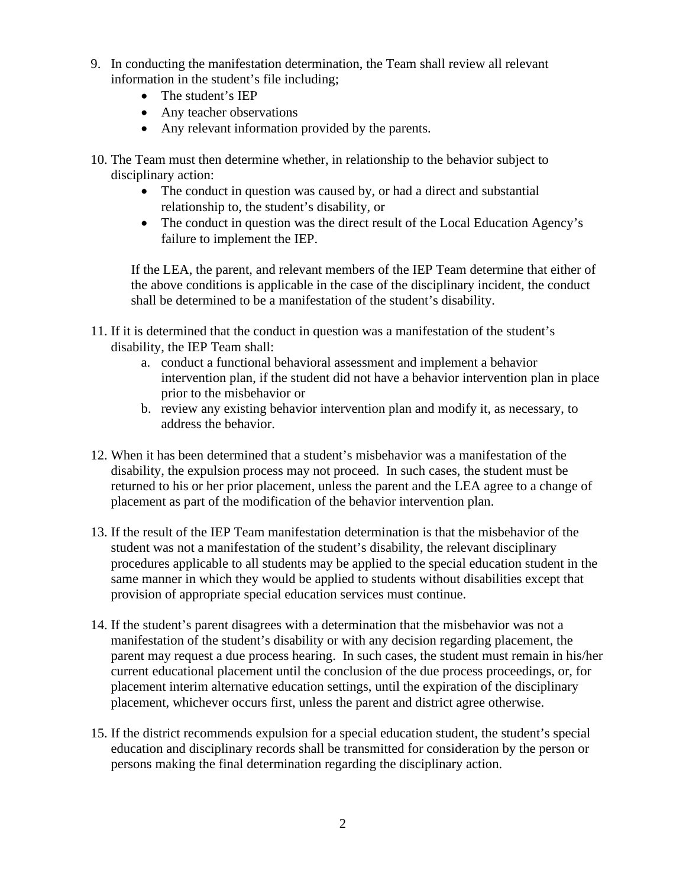- 9. In conducting the manifestation determination, the Team shall review all relevant information in the student's file including;
	- The student's IEP
	- Any teacher observations
	- Any relevant information provided by the parents.
- 10. The Team must then determine whether, in relationship to the behavior subject to disciplinary action:
	- The conduct in question was caused by, or had a direct and substantial relationship to, the student's disability, or
	- The conduct in question was the direct result of the Local Education Agency's failure to implement the IEP.

If the LEA, the parent, and relevant members of the IEP Team determine that either of the above conditions is applicable in the case of the disciplinary incident, the conduct shall be determined to be a manifestation of the student's disability.

- 11. If it is determined that the conduct in question was a manifestation of the student's disability, the IEP Team shall:
	- a. conduct a functional behavioral assessment and implement a behavior intervention plan, if the student did not have a behavior intervention plan in place prior to the misbehavior or
	- b. review any existing behavior intervention plan and modify it, as necessary, to address the behavior.
- 12. When it has been determined that a student's misbehavior was a manifestation of the disability, the expulsion process may not proceed. In such cases, the student must be returned to his or her prior placement, unless the parent and the LEA agree to a change of placement as part of the modification of the behavior intervention plan.
- 13. If the result of the IEP Team manifestation determination is that the misbehavior of the student was not a manifestation of the student's disability, the relevant disciplinary procedures applicable to all students may be applied to the special education student in the same manner in which they would be applied to students without disabilities except that provision of appropriate special education services must continue.
- 14. If the student's parent disagrees with a determination that the misbehavior was not a manifestation of the student's disability or with any decision regarding placement, the parent may request a due process hearing. In such cases, the student must remain in his/her current educational placement until the conclusion of the due process proceedings, or, for placement interim alternative education settings, until the expiration of the disciplinary placement, whichever occurs first, unless the parent and district agree otherwise.
- 15. If the district recommends expulsion for a special education student, the student's special education and disciplinary records shall be transmitted for consideration by the person or persons making the final determination regarding the disciplinary action.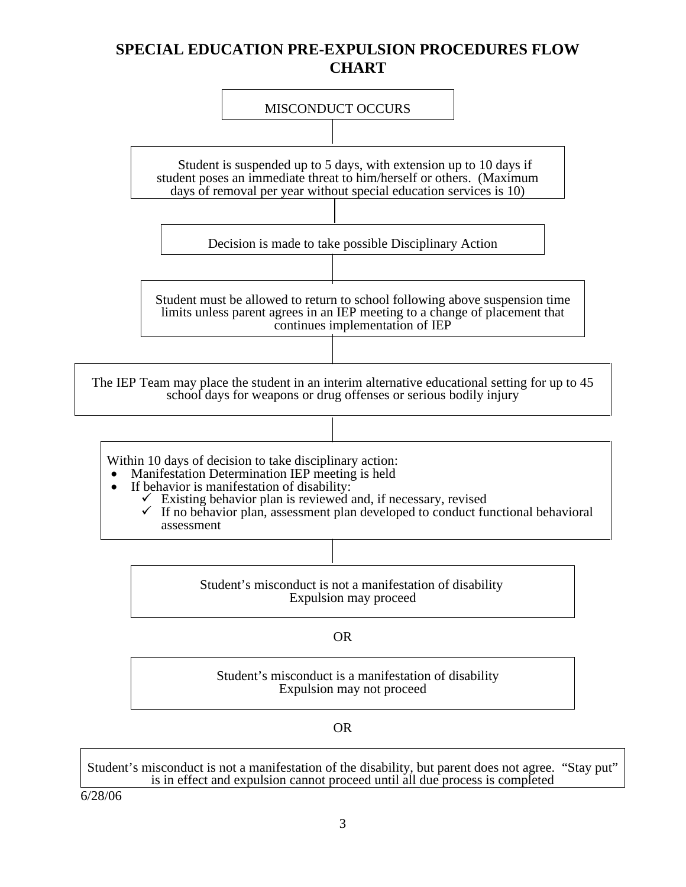### **SPECIAL EDUCATION PRE-EXPULSION PROCEDURES FLOW CHART**



Expulsion may not proceed

OR

Student's misconduct is not a manifestation of the disability, but parent does not agree. "Stay put" is in effect and expulsion cannot proceed until all due process is completed

6/28/06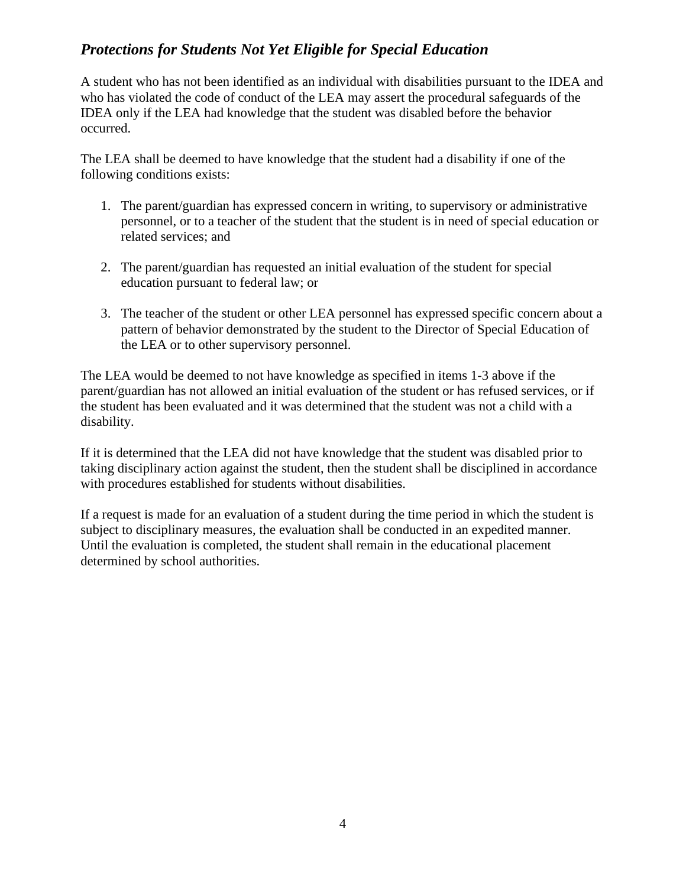#### *Protections for Students Not Yet Eligible for Special Education*

A student who has not been identified as an individual with disabilities pursuant to the IDEA and who has violated the code of conduct of the LEA may assert the procedural safeguards of the IDEA only if the LEA had knowledge that the student was disabled before the behavior occurred.

The LEA shall be deemed to have knowledge that the student had a disability if one of the following conditions exists:

- 1. The parent/guardian has expressed concern in writing, to supervisory or administrative personnel, or to a teacher of the student that the student is in need of special education or related services; and
- 2. The parent/guardian has requested an initial evaluation of the student for special education pursuant to federal law; or
- 3. The teacher of the student or other LEA personnel has expressed specific concern about a pattern of behavior demonstrated by the student to the Director of Special Education of the LEA or to other supervisory personnel.

The LEA would be deemed to not have knowledge as specified in items 1-3 above if the parent/guardian has not allowed an initial evaluation of the student or has refused services, or if the student has been evaluated and it was determined that the student was not a child with a disability.

If it is determined that the LEA did not have knowledge that the student was disabled prior to taking disciplinary action against the student, then the student shall be disciplined in accordance with procedures established for students without disabilities.

If a request is made for an evaluation of a student during the time period in which the student is subject to disciplinary measures, the evaluation shall be conducted in an expedited manner. Until the evaluation is completed, the student shall remain in the educational placement determined by school authorities.